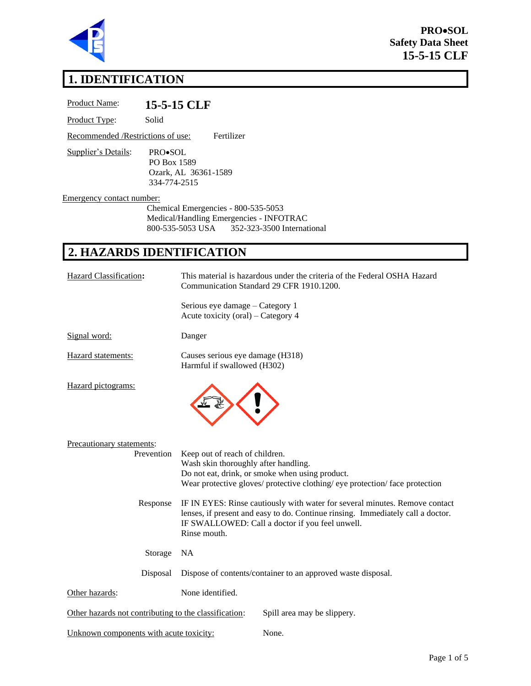

**PRO**•**SOL Safety Data Sheet 15-5-15 CLF** 

# **1. IDENTIFICATION**

| Product Name:                     |                                        | 15-5-15 CLF                                                                                                                                                                                                                       |
|-----------------------------------|----------------------------------------|-----------------------------------------------------------------------------------------------------------------------------------------------------------------------------------------------------------------------------------|
| Product Type:                     | Solid                                  |                                                                                                                                                                                                                                   |
| Recommended /Restrictions of use: |                                        | Fertilizer                                                                                                                                                                                                                        |
| Supplier's Details:               | PRO•SOL<br>PO Box 1589<br>334-774-2515 | Ozark, AL 36361-1589                                                                                                                                                                                                              |
| Emergency contact number:         |                                        | Chemical Emergencies - 800-535-5053<br>Medical/Handling Emergencies - INFOTRAC<br>800-535-5053 USA<br>352-323-3500 International                                                                                                  |
| 2. HAZARDS IDENTIFICATION         |                                        |                                                                                                                                                                                                                                   |
| <b>Hazard Classification:</b>     |                                        | This material is hazardous under the criteria of the Federal OSHA Hazard<br>Communication Standard 29 CFR 1910.1200.                                                                                                              |
|                                   |                                        | Serious eye damage - Category 1<br>Acute toxicity (oral) – Category 4                                                                                                                                                             |
| Signal word:                      |                                        | Danger                                                                                                                                                                                                                            |
| Hazard statements:                |                                        | Causes serious eye damage (H318)<br>Harmful if swallowed (H302)                                                                                                                                                                   |
| Hazard pictograms:                |                                        |                                                                                                                                                                                                                                   |
| Precautionary statements:         | Prevention                             | Keep out of reach of children.<br>Wash skin thoroughly after handling.<br>Do not eat, drink, or smoke when using product.<br>Wear protective gloves/ protective clothing/ eye protection/ face protection                         |
|                                   | Response                               | IF IN EYES: Rinse cautiously with water for several minutes. Remove contact<br>lenses, if present and easy to do. Continue rinsing. Immediately call a doctor.<br>IF SWALLOWED: Call a doctor if you feel unwell.<br>Rinse mouth. |
|                                   | Storage                                | <b>NA</b>                                                                                                                                                                                                                         |
|                                   |                                        |                                                                                                                                                                                                                                   |

Disposal Dispose of contents/container to an approved waste disposal.

Other hazards: None identified.

Other hazards not contributing to the classification: Spill area may be slippery.

Unknown components with acute toxicity: None.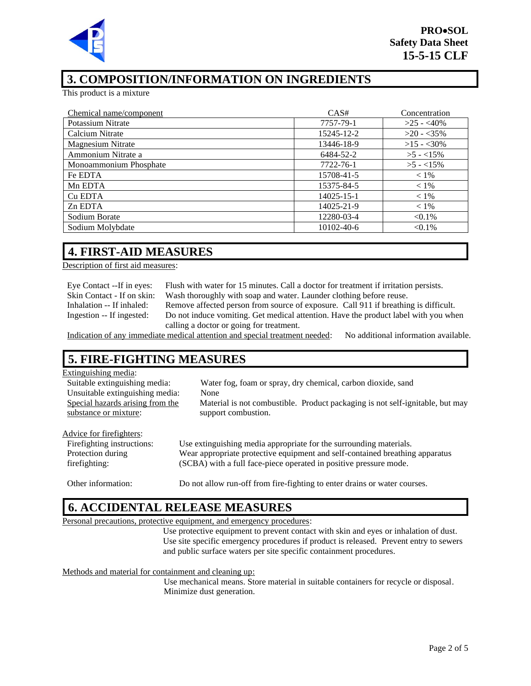

# **3. COMPOSITION/INFORMATION ON INGREDIENTS**

This product is a mixture

| Chemical name/component  | CAS#       | Concentration |
|--------------------------|------------|---------------|
| Potassium Nitrate        | 7757-79-1  | $>25 - 40\%$  |
| Calcium Nitrate          | 15245-12-2 | $>20 - 35\%$  |
| <b>Magnesium Nitrate</b> | 13446-18-9 | $>15 - 30\%$  |
| Ammonium Nitrate a       | 6484-52-2  | $>5 - 15\%$   |
| Monoammonium Phosphate   | 7722-76-1  | $>5 - 15\%$   |
| Fe EDTA                  | 15708-41-5 | $< 1\%$       |
| Mn EDTA                  | 15375-84-5 | $< 1\%$       |
| Cu EDTA                  | 14025-15-1 | $< 1\%$       |
| Zn EDTA                  | 14025-21-9 | $< 1\%$       |
| Sodium Borate            | 12280-03-4 | $< 0.1\%$     |
| Sodium Molybdate         | 10102-40-6 | $< 0.1\%$     |

### **4. FIRST-AID MEASURES**

Description of first aid measures:

Eye Contact --If in eyes: Flush with water for 15 minutes. Call a doctor for treatment if irritation persists. Skin Contact - If on skin: Wash thoroughly with soap and water. Launder clothing before reuse. Inhalation -- If inhaled: Remove affected person from source of exposure. Call 911 if breathing is difficult. Ingestion -- If ingested: Do not induce vomiting. Get medical attention. Have the product label with you when calling a doctor or going for treatment.

Indication of any immediate medical attention and special treatment needed: No additional information available.

# **5. FIRE-FIGHTING MEASURES**

#### Extinguishing media:

| <b>Eathlethannel</b> mount       |                                                                               |
|----------------------------------|-------------------------------------------------------------------------------|
| Suitable extinguishing media:    | Water fog, foam or spray, dry chemical, carbon dioxide, sand                  |
| Unsuitable extinguishing media:  | None                                                                          |
| Special hazards arising from the | Material is not combustible. Product packaging is not self-ignitable, but may |
| substance or mixture:            | support combustion.                                                           |
|                                  |                                                                               |
| Advice for firefighters:         |                                                                               |
| Fire fighting instructions:      | Use extinguishing media appropriate for the surrounding materials.            |
| Protection during                | Wear appropriate protective equipment and self-contained breathing apparatus  |
| firefighting:                    | (SCBA) with a full face-piece operated in positive pressure mode.             |
|                                  |                                                                               |
| Other information:               | Do not allow run-off from fire-fighting to enter drains or water courses.     |

#### **6. ACCIDENTAL RELEASE MEASURES**

Personal precautions, protective equipment, and emergency procedures:

Use protective equipment to prevent contact with skin and eyes or inhalation of dust. Use site specific emergency procedures if product is released. Prevent entry to sewers and public surface waters per site specific containment procedures.

Methods and material for containment and cleaning up:

Use mechanical means. Store material in suitable containers for recycle or disposal. Minimize dust generation.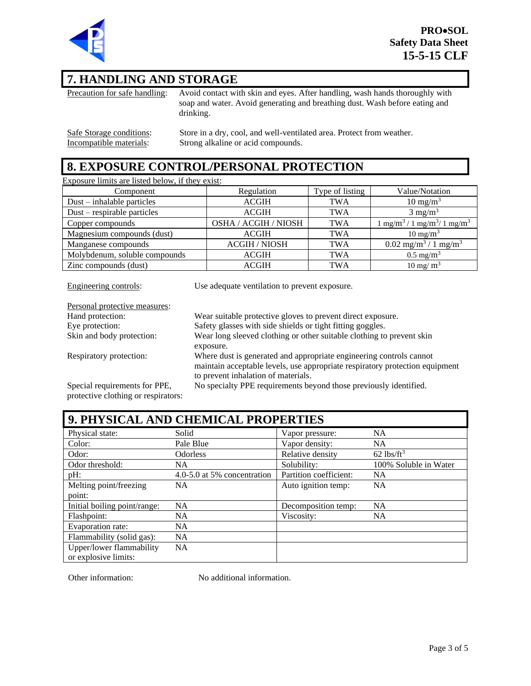

### **7. HANDLING AND STORAGE**

Precaution for safe handling: Avoid contact with skin and eyes. After handling, wash hands thoroughly with soap and water. Avoid generating and breathing dust. Wash before eating and drinking.

Safe Storage conditions: Store in a dry, cool, and well-ventilated area. Protect from weather.<br>Incompatible materials: Strong alkaline or acid compounds. Strong alkaline or acid compounds.

### **8. EXPOSURE CONTROL/PERSONAL PROTECTION**

Exposure limits are listed below, if they exist:

| Component                     | Regulation           | Type of listing | Value/Notation                                           |
|-------------------------------|----------------------|-----------------|----------------------------------------------------------|
| $Dust - inhalable particles$  | <b>ACGIH</b>         | <b>TWA</b>      | $10 \text{ mg/m}^3$                                      |
| $Dust$ – respirable particles | <b>ACGIH</b>         | <b>TWA</b>      | $3 \text{ mg/m}^3$                                       |
| Copper compounds              | OSHA / ACGIH / NIOSH | <b>TWA</b>      | $1 \text{ mg/m}^3 / 1 \text{ mg/m}^3 / 1 \text{ mg/m}^3$ |
| Magnesium compounds (dust)    | <b>ACGIH</b>         | <b>TWA</b>      | $10 \text{ mg/m}^3$                                      |
| Manganese compounds           | <b>ACGIH / NIOSH</b> | <b>TWA</b>      | $0.02$ mg/m <sup>3</sup> / 1 mg/m <sup>3</sup>           |
| Molybdenum, soluble compounds | <b>ACGIH</b>         | <b>TWA</b>      | $0.5 \text{ mg/m}^3$                                     |
| Zinc compounds (dust)         | <b>ACGIH</b>         | <b>TWA</b>      | $10 \text{ mg/m}^3$                                      |

Engineering controls: Use adequate ventilation to prevent exposure.

| Personal protective measures:       |                                                                              |
|-------------------------------------|------------------------------------------------------------------------------|
| Hand protection:                    | Wear suitable protective gloves to prevent direct exposure.                  |
| Eye protection:                     | Safety glasses with side shields or tight fitting goggles.                   |
| Skin and body protection:           | Wear long sleeved clothing or other suitable clothing to prevent skin        |
|                                     | exposure.                                                                    |
| Respiratory protection:             | Where dust is generated and appropriate engineering controls cannot          |
|                                     | maintain acceptable levels, use appropriate respiratory protection equipment |
|                                     | to prevent inhalation of materials.                                          |
| Special requirements for PPE,       | No specialty PPE requirements beyond those previously identified.            |
| protective clothing or respirators: |                                                                              |

| 9. PHYSICAL AND CHEMICAL PROPERTIES |                             |                        |                          |
|-------------------------------------|-----------------------------|------------------------|--------------------------|
| Physical state:                     | Solid                       | Vapor pressure:        | <b>NA</b>                |
| Color:                              | Pale Blue                   | Vapor density:         | <b>NA</b>                |
| Odor:                               | Odorless                    | Relative density       | $62$ lbs/ft <sup>3</sup> |
| Odor threshold:                     | NA.                         | Solubility:            | 100% Soluble in Water    |
| $pH$ :                              | 4.0-5.0 at 5% concentration | Partition coefficient: | <b>NA</b>                |
| Melting point/freezing              | NA.                         | Auto ignition temp:    | <b>NA</b>                |
| point:                              |                             |                        |                          |
| Initial boiling point/range:        | <b>NA</b>                   | Decomposition temp:    | <b>NA</b>                |
| Flashpoint:                         | NA.                         | Viscosity:             | <b>NA</b>                |
| Evaporation rate:                   | <b>NA</b>                   |                        |                          |
| Flammability (solid gas):           | <b>NA</b>                   |                        |                          |
| Upper/lower flammability            | NA                          |                        |                          |
| or explosive limits:                |                             |                        |                          |

Other information: No additional information.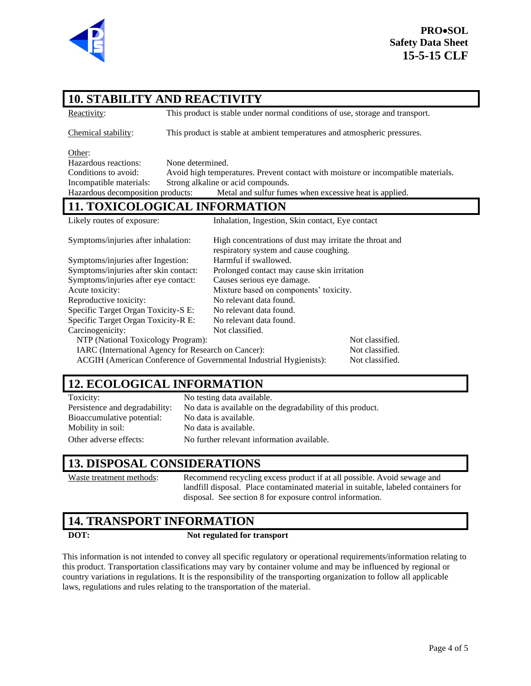

# **10. STABILITY AND REACTIVITY**

Reactivity: This product is stable under normal conditions of use, storage and transport.

Chemical stability: This product is stable at ambient temperatures and atmospheric pressures.

Other:

Hazardous reactions: None determined. Conditions to avoid: Avoid high temperatures. Prevent contact with moisture or incompatible materials. Incompatible materials: Strong alkaline or acid compounds. Hazardous decomposition products: Metal and sulfur fumes when excessive heat is applied.

### **11. TOXICOLOGICAL INFORMATION**

| Likely routes of exposure:                                         | Inhalation, Ingestion, Skin contact, Eye contact                                                  |                 |  |  |
|--------------------------------------------------------------------|---------------------------------------------------------------------------------------------------|-----------------|--|--|
| Symptoms/injuries after inhalation:                                | High concentrations of dust may irritate the throat and<br>respiratory system and cause coughing. |                 |  |  |
| Symptoms/injuries after Ingestion:                                 | Harmful if swallowed.                                                                             |                 |  |  |
| Symptoms/injuries after skin contact:                              | Prolonged contact may cause skin irritation                                                       |                 |  |  |
| Symptoms/injuries after eye contact:                               | Causes serious eye damage.                                                                        |                 |  |  |
| Acute toxicity:                                                    | Mixture based on components' toxicity.                                                            |                 |  |  |
| Reproductive toxicity:                                             | No relevant data found.                                                                           |                 |  |  |
| Specific Target Organ Toxicity-S E:                                | No relevant data found.                                                                           |                 |  |  |
| Specific Target Organ Toxicity-R E:                                | No relevant data found.                                                                           |                 |  |  |
| Carcinogenicity:                                                   | Not classified.                                                                                   |                 |  |  |
| NTP (National Toxicology Program):                                 |                                                                                                   | Not classified. |  |  |
| IARC (International Agency for Research on Cancer):                |                                                                                                   | Not classified. |  |  |
| ACGIH (American Conference of Governmental Industrial Hygienists): |                                                                                                   | Not classified. |  |  |

# **12. ECOLOGICAL INFORMATION**

Toxicity: No testing data available. Persistence and degradability: No data is available on the degradability of this product. Bioaccumulative potential: No data is available. Mobility in soil: No data is available. Other adverse effects: No further relevant information available.

### **13. DISPOSAL CONSIDERATIONS**

Waste treatment methods: Recommend recycling excess product if at all possible. Avoid sewage and landfill disposal. Place contaminated material in suitable, labeled containers for disposal. See section 8 for exposure control information.

## **14. TRANSPORT INFORMATION**

#### **DOT: Not regulated for transport**

This information is not intended to convey all specific regulatory or operational requirements/information relating to this product. Transportation classifications may vary by container volume and may be influenced by regional or country variations in regulations. It is the responsibility of the transporting organization to follow all applicable laws, regulations and rules relating to the transportation of the material.